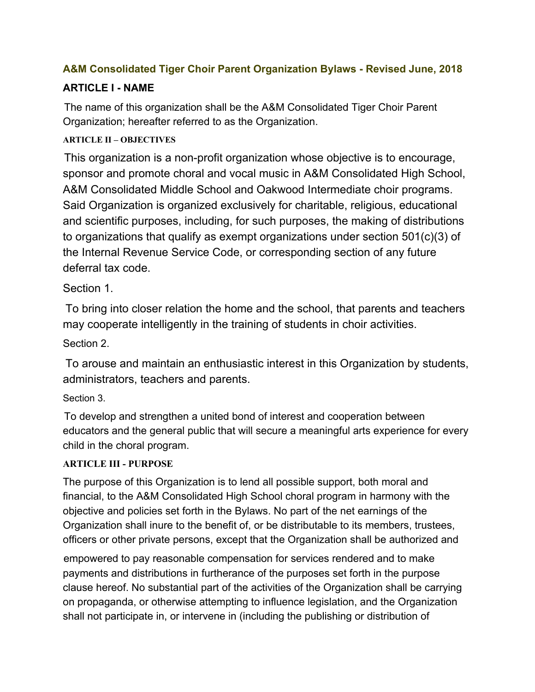## **A&M Consolidated Tiger Choir Parent Organization Bylaws - Revised June, 2018**

# **ARTICLE I - NAME**

The name of this organization shall be the A&M Consolidated Tiger Choir Parent Organization; hereafter referred to as the Organization.

#### **ARTICLE II – OBJECTIVES**

This organization is a non-profit organization whose objective is to encourage, sponsor and promote choral and vocal music in A&M Consolidated High School, A&M Consolidated Middle School and Oakwood Intermediate choir programs. Said Organization is organized exclusively for charitable, religious, educational and scientific purposes, including, for such purposes, the making of distributions to organizations that qualify as exempt organizations under section 501(c)(3) of the Internal Revenue Service Code, or corresponding section of any future deferral tax code.

Section 1.

To bring into closer relation the home and the school, that parents and teachers may cooperate intelligently in the training of students in choir activities.

Section 2.

To arouse and maintain an enthusiastic interest in this Organization by students, administrators, teachers and parents.

Section 3.

To develop and strengthen a united bond of interest and cooperation between educators and the general public that will secure a meaningful arts experience for every child in the choral program.

#### **ARTICLE III - PURPOSE**

The purpose of this Organization is to lend all possible support, both moral and financial, to the A&M Consolidated High School choral program in harmony with the objective and policies set forth in the Bylaws. No part of the net earnings of the Organization shall inure to the benefit of, or be distributable to its members, trustees, officers or other private persons, except that the Organization shall be authorized and

empowered to pay reasonable compensation for services rendered and to make payments and distributions in furtherance of the purposes set forth in the purpose clause hereof. No substantial part of the activities of the Organization shall be carrying on propaganda, or otherwise attempting to influence legislation, and the Organization shall not participate in, or intervene in (including the publishing or distribution of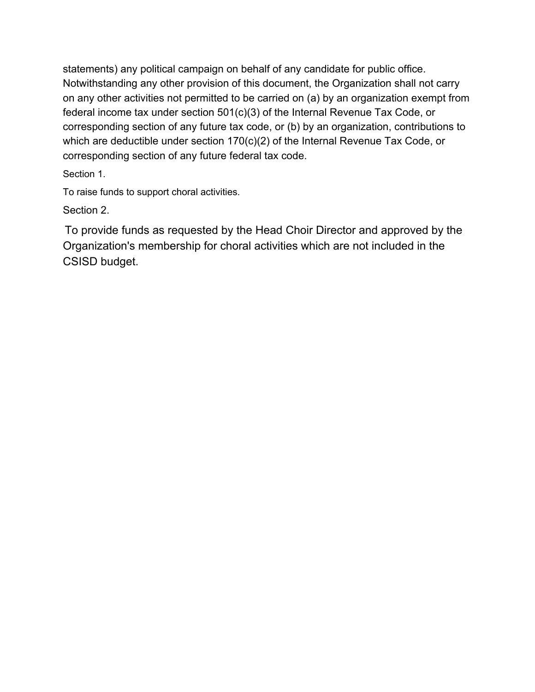statements) any political campaign on behalf of any candidate for public office. Notwithstanding any other provision of this document, the Organization shall not carry on any other activities not permitted to be carried on (a) by an organization exempt from federal income tax under section 501(c)(3) of the Internal Revenue Tax Code, or corresponding section of any future tax code, or (b) by an organization, contributions to which are deductible under section 170(c)(2) of the Internal Revenue Tax Code, or corresponding section of any future federal tax code.

Section 1.

To raise funds to support choral activities.

Section 2.

To provide funds as requested by the Head Choir Director and approved by the Organization's membership for choral activities which are not included in the CSISD budget.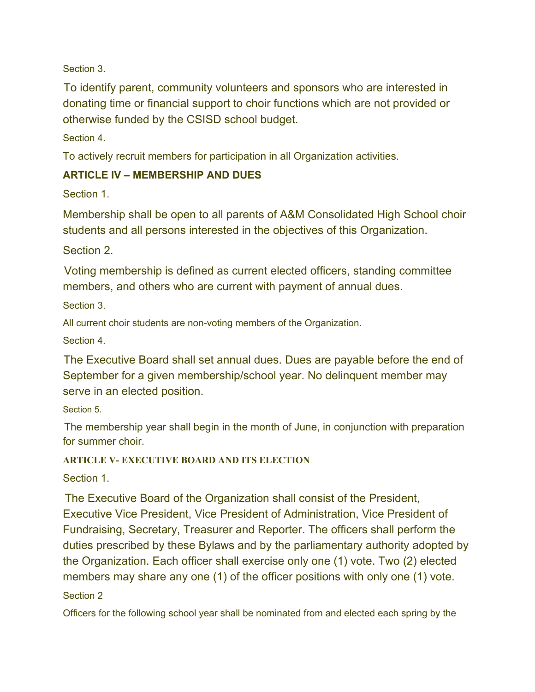Section 3.

To identify parent, community volunteers and sponsors who are interested in donating time or financial support to choir functions which are not provided or otherwise funded by the CSISD school budget.

Section 4.

To actively recruit members for participation in all Organization activities.

#### **ARTICLE IV – MEMBERSHIP AND DUES**

Section 1.

Membership shall be open to all parents of A&M Consolidated High School choir students and all persons interested in the objectives of this Organization.

Section 2.

Voting membership is defined as current elected officers, standing committee members, and others who are current with payment of annual dues.

Section 3.

All current choir students are non-voting members of the Organization.

Section 4.

The Executive Board shall set annual dues. Dues are payable before the end of September for a given membership/school year. No delinquent member may serve in an elected position.

Section 5.

The membership year shall begin in the month of June, in conjunction with preparation for summer choir.

#### **ARTICLE V- EXECUTIVE BOARD AND ITS ELECTION**

Section 1.

The Executive Board of the Organization shall consist of the President, Executive Vice President, Vice President of Administration, Vice President of Fundraising, Secretary, Treasurer and Reporter. The officers shall perform the duties prescribed by these Bylaws and by the parliamentary authority adopted by the Organization. Each officer shall exercise only one (1) vote. Two (2) elected members may share any one (1) of the officer positions with only one (1) vote.

Section 2

Officers for the following school year shall be nominated from and elected each spring by the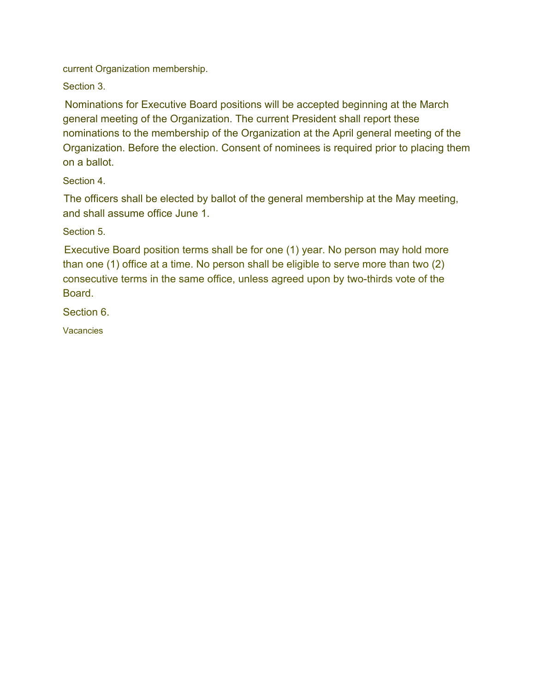current Organization membership.

Section 3.

Nominations for Executive Board positions will be accepted beginning at the March general meeting of the Organization. The current President shall report these nominations to the membership of the Organization at the April general meeting of the Organization. Before the election. Consent of nominees is required prior to placing them on a ballot.

Section 4.

The officers shall be elected by ballot of the general membership at the May meeting, and shall assume office June 1.

Section 5.

Executive Board position terms shall be for one (1) year. No person may hold more than one (1) office at a time. No person shall be eligible to serve more than two (2) consecutive terms in the same office, unless agreed upon by two-thirds vote of the Board.

Section 6.

**Vacancies**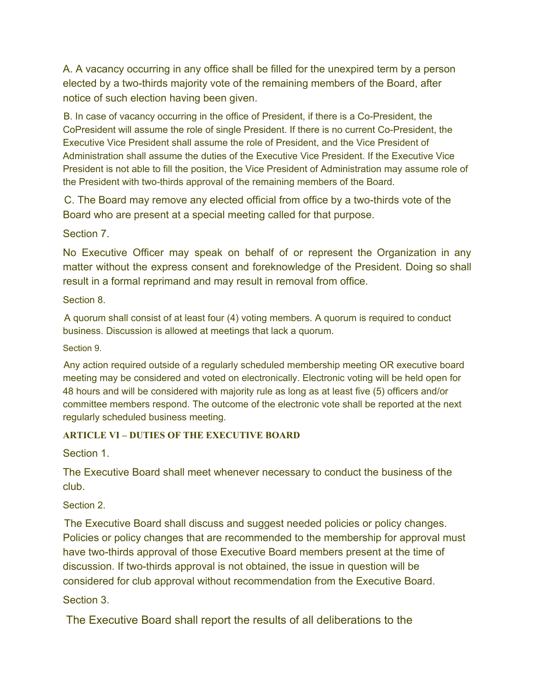A. A vacancy occurring in any office shall be filled for the unexpired term by a person elected by a two-thirds majority vote of the remaining members of the Board, after notice of such election having been given.

B. In case of vacancy occurring in the office of President, if there is a Co-President, the CoPresident will assume the role of single President. If there is no current Co-President, the Executive Vice President shall assume the role of President, and the Vice President of Administration shall assume the duties of the Executive Vice President. If the Executive Vice President is not able to fill the position, the Vice President of Administration may assume role of the President with two-thirds approval of the remaining members of the Board.

C. The Board may remove any elected official from office by a two-thirds vote of the Board who are present at a special meeting called for that purpose.

Section 7.

No Executive Officer may speak on behalf of or represent the Organization in any matter without the express consent and foreknowledge of the President. Doing so shall result in a formal reprimand and may result in removal from office.

Section 8.

A quorum shall consist of at least four (4) voting members. A quorum is required to conduct business. Discussion is allowed at meetings that lack a quorum.

Section 9.

Any action required outside of a regularly scheduled membership meeting OR executive board meeting may be considered and voted on electronically. Electronic voting will be held open for 48 hours and will be considered with majority rule as long as at least five (5) officers and/or committee members respond. The outcome of the electronic vote shall be reported at the next regularly scheduled business meeting.

#### **ARTICLE VI – DUTIES OF THE EXECUTIVE BOARD**

Section 1.

The Executive Board shall meet whenever necessary to conduct the business of the club.

Section 2.

The Executive Board shall discuss and suggest needed policies or policy changes. Policies or policy changes that are recommended to the membership for approval must have two-thirds approval of those Executive Board members present at the time of discussion. If two-thirds approval is not obtained, the issue in question will be considered for club approval without recommendation from the Executive Board.

#### Section 3.

The Executive Board shall report the results of all deliberations to the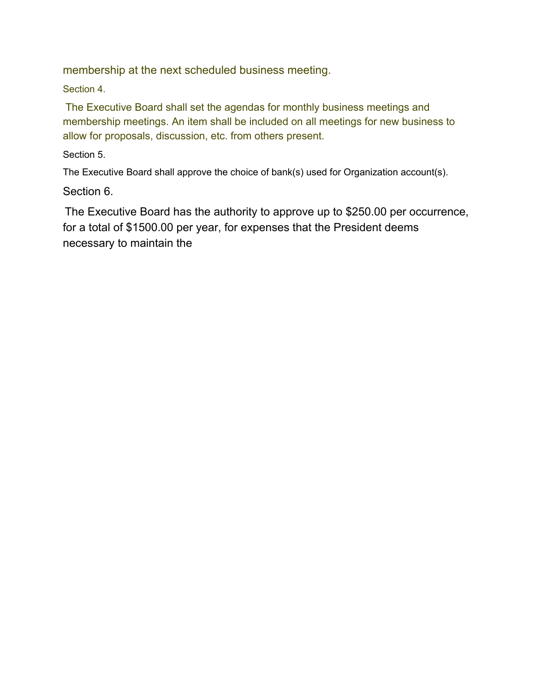membership at the next scheduled business meeting.

Section 4.

The Executive Board shall set the agendas for monthly business meetings and membership meetings. An item shall be included on all meetings for new business to allow for proposals, discussion, etc. from others present.

Section 5.

The Executive Board shall approve the choice of bank(s) used for Organization account(s).

Section 6.

The Executive Board has the authority to approve up to \$250.00 per occurrence, for a total of \$1500.00 per year, for expenses that the President deems necessary to maintain the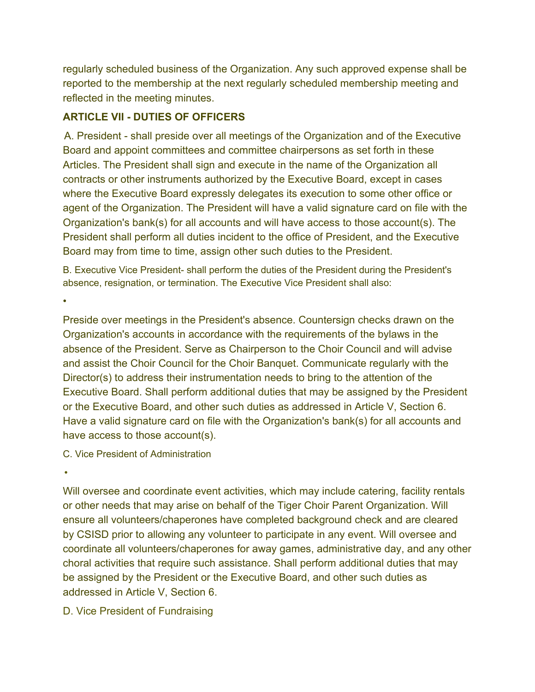regularly scheduled business of the Organization. Any such approved expense shall be reported to the membership at the next regularly scheduled membership meeting and reflected in the meeting minutes.

## **ARTICLE VII - DUTIES OF OFFICERS**

A. President - shall preside over all meetings of the Organization and of the Executive Board and appoint committees and committee chairpersons as set forth in these Articles. The President shall sign and execute in the name of the Organization all contracts or other instruments authorized by the Executive Board, except in cases where the Executive Board expressly delegates its execution to some other office or agent of the Organization. The President will have a valid signature card on file with the Organization's bank(s) for all accounts and will have access to those account(s). The President shall perform all duties incident to the office of President, and the Executive Board may from time to time, assign other such duties to the President.

B. Executive Vice President- shall perform the duties of the President during the President's absence, resignation, or termination. The Executive Vice President shall also:

•

Preside over meetings in the President's absence. Countersign checks drawn on the Organization's accounts in accordance with the requirements of the bylaws in the absence of the President. Serve as Chairperson to the Choir Council and will advise and assist the Choir Council for the Choir Banquet. Communicate regularly with the Director(s) to address their instrumentation needs to bring to the attention of the Executive Board. Shall perform additional duties that may be assigned by the President or the Executive Board, and other such duties as addressed in Article V, Section 6. Have a valid signature card on file with the Organization's bank(s) for all accounts and have access to those account(s).

C. Vice President of Administration

•

Will oversee and coordinate event activities, which may include catering, facility rentals or other needs that may arise on behalf of the Tiger Choir Parent Organization. Will ensure all volunteers/chaperones have completed background check and are cleared by CSISD prior to allowing any volunteer to participate in any event. Will oversee and coordinate all volunteers/chaperones for away games, administrative day, and any other choral activities that require such assistance. Shall perform additional duties that may be assigned by the President or the Executive Board, and other such duties as addressed in Article V, Section 6.

## D. Vice President of Fundraising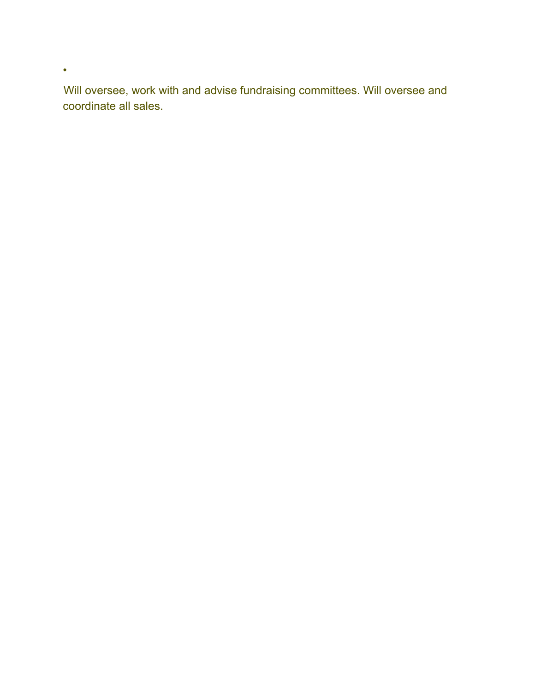Will oversee, work with and advise fundraising committees. Will oversee and coordinate all sales.

•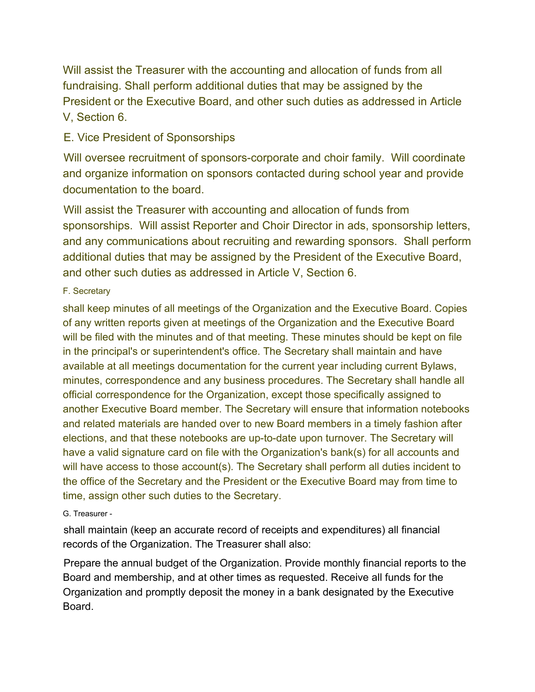Will assist the Treasurer with the accounting and allocation of funds from all fundraising. Shall perform additional duties that may be assigned by the President or the Executive Board, and other such duties as addressed in Article V, Section 6.

## E. Vice President of Sponsorships

Will oversee recruitment of sponsors-corporate and choir family. Will coordinate and organize information on sponsors contacted during school year and provide documentation to the board.

Will assist the Treasurer with accounting and allocation of funds from sponsorships. Will assist Reporter and Choir Director in ads, sponsorship letters, and any communications about recruiting and rewarding sponsors. Shall perform additional duties that may be assigned by the President of the Executive Board, and other such duties as addressed in Article V, Section 6.

#### F. Secretary

shall keep minutes of all meetings of the Organization and the Executive Board. Copies of any written reports given at meetings of the Organization and the Executive Board will be filed with the minutes and of that meeting. These minutes should be kept on file in the principal's or superintendent's office. The Secretary shall maintain and have available at all meetings documentation for the current year including current Bylaws, minutes, correspondence and any business procedures. The Secretary shall handle all official correspondence for the Organization, except those specifically assigned to another Executive Board member. The Secretary will ensure that information notebooks and related materials are handed over to new Board members in a timely fashion after elections, and that these notebooks are up-to-date upon turnover. The Secretary will have a valid signature card on file with the Organization's bank(s) for all accounts and will have access to those account(s). The Secretary shall perform all duties incident to the office of the Secretary and the President or the Executive Board may from time to time, assign other such duties to the Secretary.

#### G. Treasurer -

shall maintain (keep an accurate record of receipts and expenditures) all financial records of the Organization. The Treasurer shall also:

Prepare the annual budget of the Organization. Provide monthly financial reports to the Board and membership, and at other times as requested. Receive all funds for the Organization and promptly deposit the money in a bank designated by the Executive Board.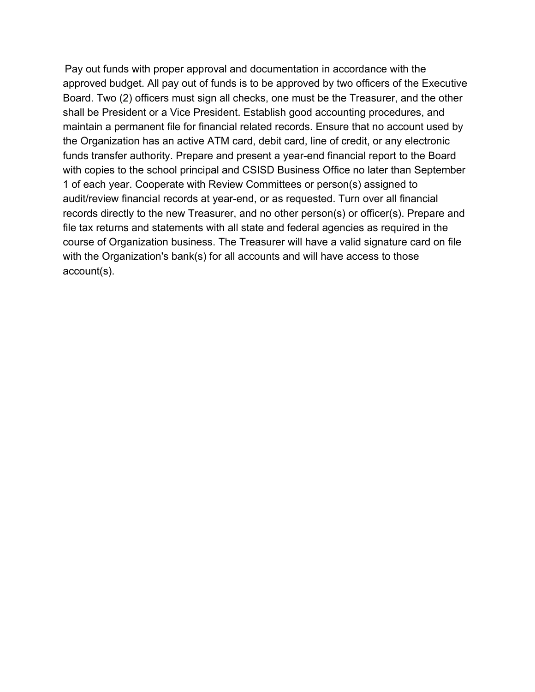Pay out funds with proper approval and documentation in accordance with the approved budget. All pay out of funds is to be approved by two officers of the Executive Board. Two (2) officers must sign all checks, one must be the Treasurer, and the other shall be President or a Vice President. Establish good accounting procedures, and maintain a permanent file for financial related records. Ensure that no account used by the Organization has an active ATM card, debit card, line of credit, or any electronic funds transfer authority. Prepare and present a year-end financial report to the Board with copies to the school principal and CSISD Business Office no later than September 1 of each year. Cooperate with Review Committees or person(s) assigned to audit/review financial records at year-end, or as requested. Turn over all financial records directly to the new Treasurer, and no other person(s) or officer(s). Prepare and file tax returns and statements with all state and federal agencies as required in the course of Organization business. The Treasurer will have a valid signature card on file with the Organization's bank(s) for all accounts and will have access to those account(s).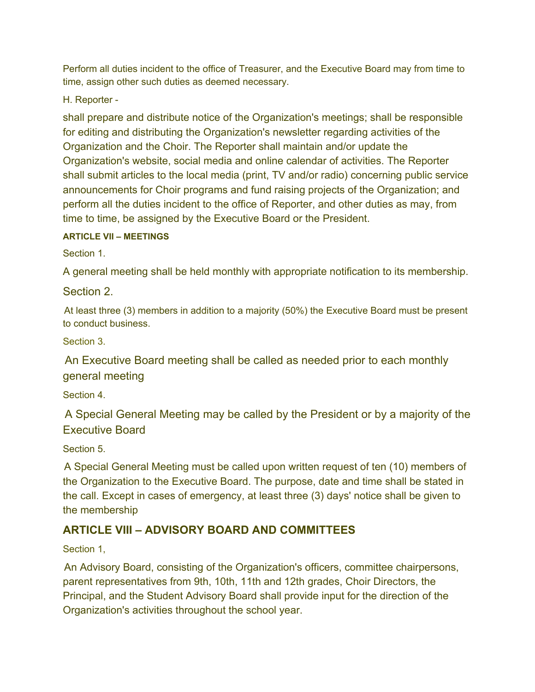Perform all duties incident to the office of Treasurer, and the Executive Board may from time to time, assign other such duties as deemed necessary.

H. Reporter -

shall prepare and distribute notice of the Organization's meetings; shall be responsible for editing and distributing the Organization's newsletter regarding activities of the Organization and the Choir. The Reporter shall maintain and/or update the Organization's website, social media and online calendar of activities. The Reporter shall submit articles to the local media (print, TV and/or radio) concerning public service announcements for Choir programs and fund raising projects of the Organization; and perform all the duties incident to the office of Reporter, and other duties as may, from time to time, be assigned by the Executive Board or the President.

#### **ARTICLE VII – MEETINGS**

Section 1.

A general meeting shall be held monthly with appropriate notification to its membership.

Section 2.

At least three (3) members in addition to a majority (50%) the Executive Board must be present to conduct business.

Section 3.

An Executive Board meeting shall be called as needed prior to each monthly general meeting

Section 4.

A Special General Meeting may be called by the President or by a majority of the Executive Board

Section 5.

A Special General Meeting must be called upon written request of ten (10) members of the Organization to the Executive Board. The purpose, date and time shall be stated in the call. Except in cases of emergency, at least three (3) days' notice shall be given to the membership

# **ARTICLE VIII – ADVISORY BOARD AND COMMITTEES**

Section 1,

An Advisory Board, consisting of the Organization's officers, committee chairpersons, parent representatives from 9th, 10th, 11th and 12th grades, Choir Directors, the Principal, and the Student Advisory Board shall provide input for the direction of the Organization's activities throughout the school year.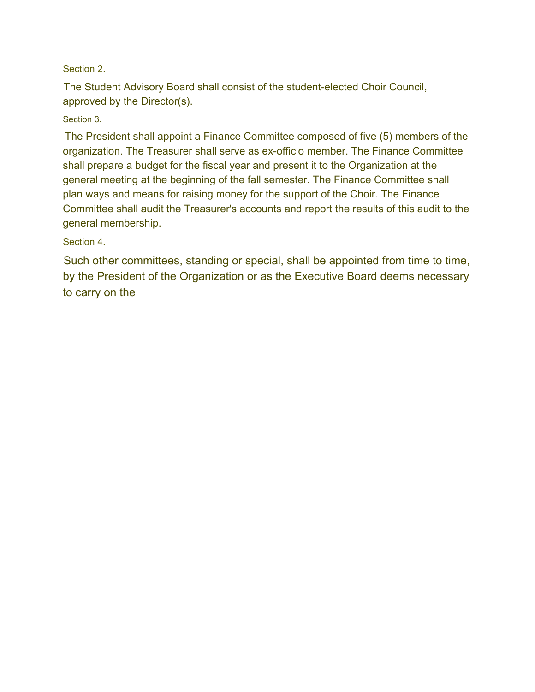#### Section 2.

The Student Advisory Board shall consist of the student-elected Choir Council, approved by the Director(s).

#### Section 3.

The President shall appoint a Finance Committee composed of five (5) members of the organization. The Treasurer shall serve as ex-officio member. The Finance Committee shall prepare a budget for the fiscal year and present it to the Organization at the general meeting at the beginning of the fall semester. The Finance Committee shall plan ways and means for raising money for the support of the Choir. The Finance Committee shall audit the Treasurer's accounts and report the results of this audit to the general membership.

#### Section 4.

Such other committees, standing or special, shall be appointed from time to time, by the President of the Organization or as the Executive Board deems necessary to carry on the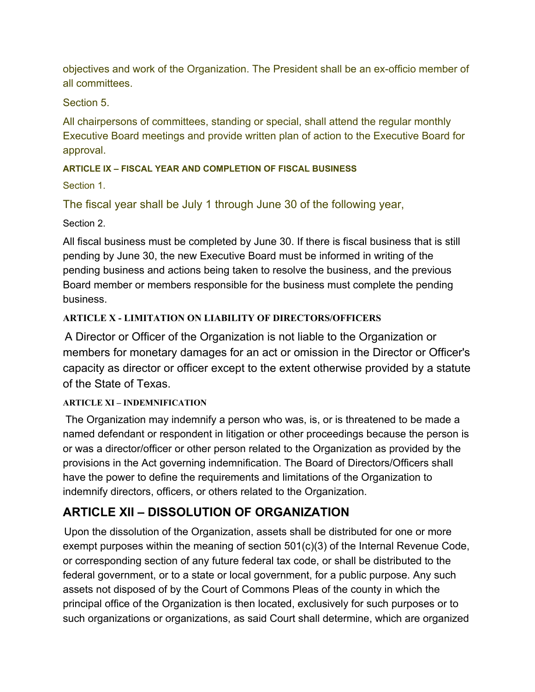objectives and work of the Organization. The President shall be an ex-officio member of all committees.

Section 5.

All chairpersons of committees, standing or special, shall attend the regular monthly Executive Board meetings and provide written plan of action to the Executive Board for approval.

# **ARTICLE IX – FISCAL YEAR AND COMPLETION OF FISCAL BUSINESS**

Section 1.

The fiscal year shall be July 1 through June 30 of the following year,

Section 2.

All fiscal business must be completed by June 30. If there is fiscal business that is still pending by June 30, the new Executive Board must be informed in writing of the pending business and actions being taken to resolve the business, and the previous Board member or members responsible for the business must complete the pending business.

# **ARTICLE X - LIMITATION ON LIABILITY OF DIRECTORS/OFFICERS**

A Director or Officer of the Organization is not liable to the Organization or members for monetary damages for an act or omission in the Director or Officer's capacity as director or officer except to the extent otherwise provided by a statute of the State of Texas.

## **ARTICLE XI – INDEMNIFICATION**

The Organization may indemnify a person who was, is, or is threatened to be made a named defendant or respondent in litigation or other proceedings because the person is or was a director/officer or other person related to the Organization as provided by the provisions in the Act governing indemnification. The Board of Directors/Officers shall have the power to define the requirements and limitations of the Organization to indemnify directors, officers, or others related to the Organization.

# **ARTICLE XII – DISSOLUTION OF ORGANIZATION**

Upon the dissolution of the Organization, assets shall be distributed for one or more exempt purposes within the meaning of section 501(c)(3) of the Internal Revenue Code, or corresponding section of any future federal tax code, or shall be distributed to the federal government, or to a state or local government, for a public purpose. Any such assets not disposed of by the Court of Commons Pleas of the county in which the principal office of the Organization is then located, exclusively for such purposes or to such organizations or organizations, as said Court shall determine, which are organized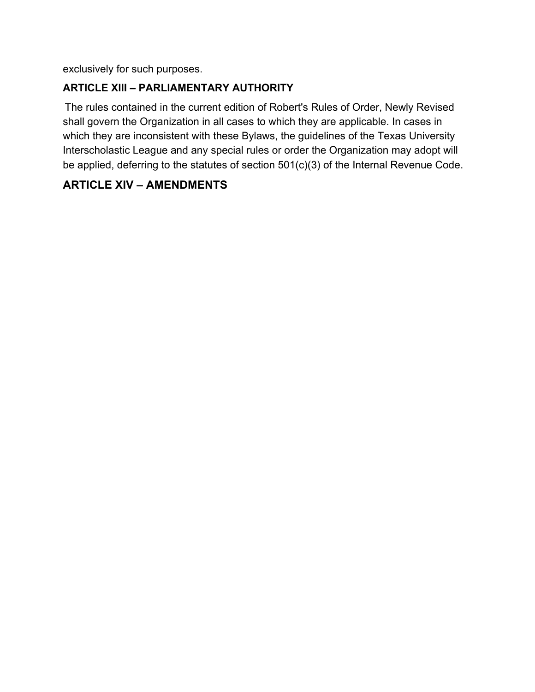exclusively for such purposes.

# **ARTICLE XIII – PARLIAMENTARY AUTHORITY**

The rules contained in the current edition of Robert's Rules of Order, Newly Revised shall govern the Organization in all cases to which they are applicable. In cases in which they are inconsistent with these Bylaws, the guidelines of the Texas University Interscholastic League and any special rules or order the Organization may adopt will be applied, deferring to the statutes of section 501(c)(3) of the Internal Revenue Code.

# **ARTICLE XIV – AMENDMENTS**